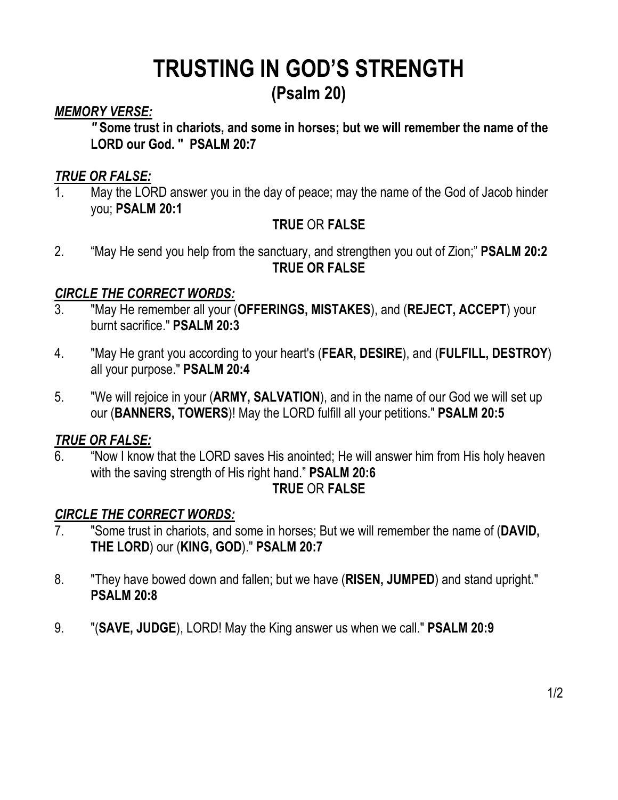## **TRUSTING IN GOD'S STRENGTH**

## **(Psalm 20)**

## *MEMORY VERSE:*

*"* **Some trust in chariots, and some in horses; but we will remember the name of the LORD our God. "****PSALM 20:7**

## *TRUE OR FALSE:*

1. May the LORD answer you in the day of peace; may the name of the God of Jacob hinder you; **PSALM 20:1**

## **TRUE** OR **FALSE**

2. "May He send you help from the sanctuary, and strengthen you out of Zion;" **PSALM 20:2 TRUE OR FALSE**

## *CIRCLE THE CORRECT WORDS:*

- 3. "May He remember all your (**OFFERINGS, MISTAKES**), and (**REJECT, ACCEPT**) your burnt sacrifice." **PSALM 20:3**
- 4. "May He grant you according to your heart's (**FEAR, DESIRE**), and (**FULFILL, DESTROY**) all your purpose." **PSALM 20:4**
- 5. "We will rejoice in your (**ARMY, SALVATION**), and in the name of our God we will set up our (**BANNERS, TOWERS**)! May the LORD fulfill all your petitions." **PSALM 20:5**

## *TRUE OR FALSE:*

6. "Now I know that the LORD saves His anointed; He will answer him from His holy heaven with the saving strength of His right hand." **PSALM 20:6**

#### **TRUE** OR **FALSE**

#### *CIRCLE THE CORRECT WORDS:*

- 7. "Some trust in chariots, and some in horses; But we will remember the name of (**DAVID, THE LORD**) our (**KING, GOD**)." **PSALM 20:7**
- 8. "They have bowed down and fallen; but we have (**RISEN, JUMPED**) and stand upright." **PSALM 20:8**
- 9. "(**SAVE, JUDGE**), LORD! May the King answer us when we call." **PSALM 20:9**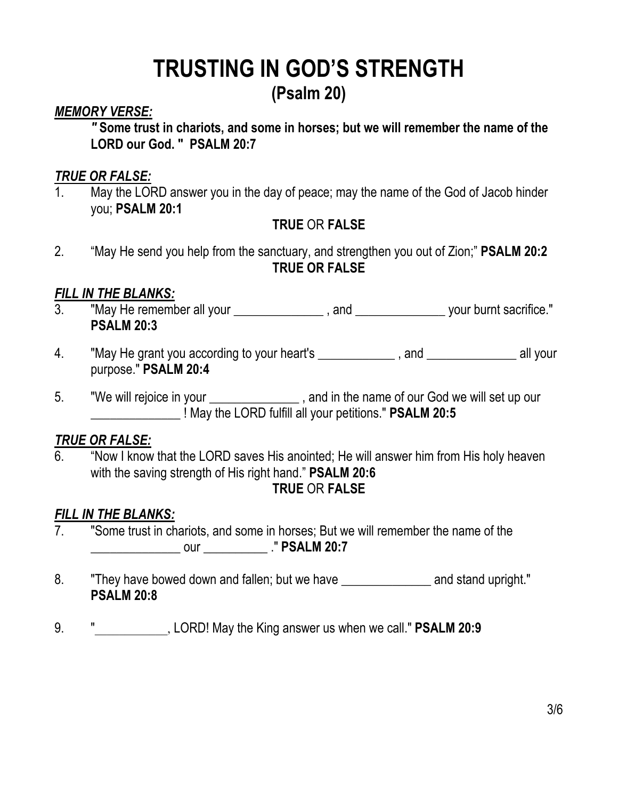## **TRUSTING IN GOD'S STRENGTH**

## **(Psalm 20)**

## *MEMORY VERSE:*

*"* **Some trust in chariots, and some in horses; but we will remember the name of the LORD our God. "****PSALM 20:7**

### *TRUE OR FALSE:*

1. May the LORD answer you in the day of peace; may the name of the God of Jacob hinder you; **PSALM 20:1**

## **TRUE** OR **FALSE**

2. "May He send you help from the sanctuary, and strengthen you out of Zion;" **PSALM 20:2 TRUE OR FALSE**

## *FILL IN THE BLANKS:*

- 3. "May He remember all your \_\_\_\_\_\_\_\_\_\_\_\_\_\_\_\_, and \_\_\_\_\_\_\_\_\_\_\_\_\_\_\_\_\_ your burnt sacrifice." **PSALM 20:3**
- 4. "May He grant you according to your heart's \_\_\_\_\_\_\_\_\_\_\_\_\_, and \_\_\_\_\_\_\_\_\_\_\_\_\_\_ all your purpose." **PSALM 20:4**
- 5. "We will rejoice in your satisface the name of our God we will set up our \_\_\_\_\_\_\_\_\_\_\_\_\_\_ ! May the LORD fulfill all your petitions." **PSALM 20:5**

## *TRUE OR FALSE:*

6. "Now I know that the LORD saves His anointed; He will answer him from His holy heaven with the saving strength of His right hand." **PSALM 20:6**

## **TRUE** OR **FALSE**

## *FILL IN THE BLANKS:*

- 7. "Some trust in chariots, and some in horses; But we will remember the name of the \_\_\_\_\_\_\_\_\_\_\_\_\_\_ our \_\_\_\_\_\_\_\_\_\_ ." **PSALM 20:7**
- 8. They have bowed down and fallen; but we have The and stand upright." **PSALM 20:8**
- 9. "\_\_\_\_\_\_\_\_\_\_\_\_, LORD! May the King answer us when we call." **PSALM 20:9**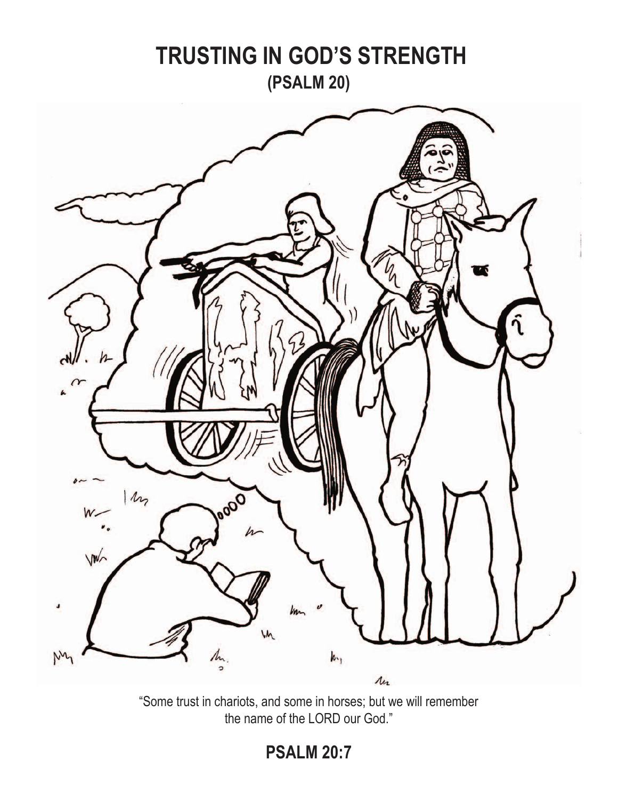

"Some trust in chariots, and some in horses; but we will remember the name of the LORD our God."

**PSALM 20:7**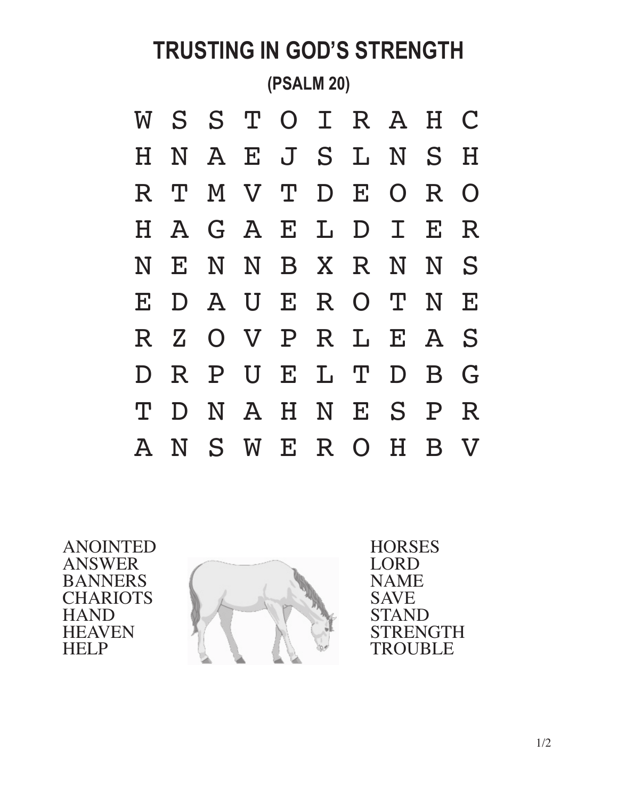# **TRUSTING IN GOD'S STRENGTH (PSALM 20)** W S S T O I R A H C H N A E J S L N S H R T M V T D E O R O H A G A E L D I E R N E N N B X R N N S E D A U E R O T N E R Z O V P R L E A S D R P U E L T D B G T D N A H N E S P R A N S W E R O H B V

ANOINTED ANSWER BANNERS **CHARIOTS** HAND **HEAVEN** HELP



**HORSES LORD** NAME SAVE STAND STRENGTH TROUBLE